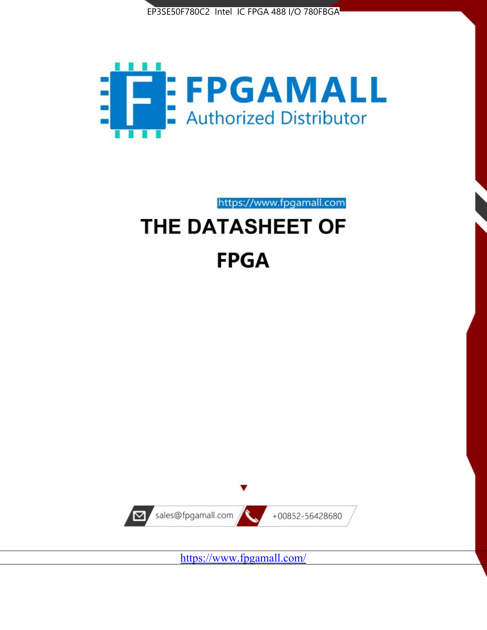



https://www.fpgamall.com THE DATASHEET OF

# **FPGA**



<https://www.fpgamall.com/>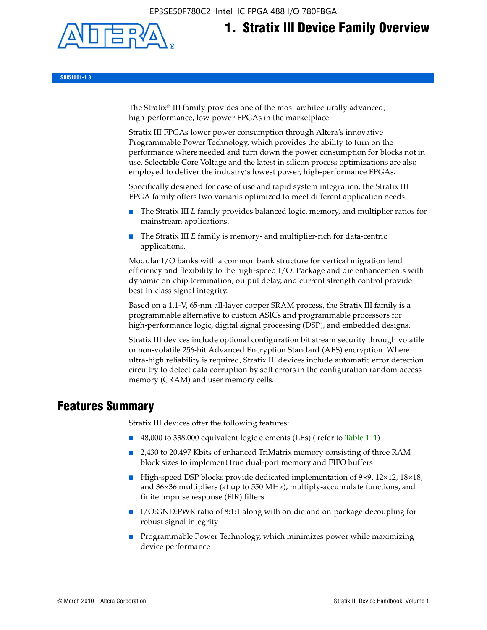EP3SE50F780C2 Intel IC FPGA 488 I/O 780FBGA



# **1. Stratix III Device Family Overview**

**SIII51001-1.8**

The Stratix® III family provides one of the most architecturally advanced, high-performance, low-power FPGAs in the marketplace.

Stratix III FPGAs lower power consumption through Altera's innovative Programmable Power Technology, which provides the ability to turn on the performance where needed and turn down the power consumption for blocks not in use. Selectable Core Voltage and the latest in silicon process optimizations are also employed to deliver the industry's lowest power, high-performance FPGAs.

Specifically designed for ease of use and rapid system integration, the Stratix III FPGA family offers two variants optimized to meet different application needs:

- The Stratix III *L* family provides balanced logic, memory, and multiplier ratios for mainstream applications.
- The Stratix III *E* family is memory- and multiplier-rich for data-centric applications.

Modular I/O banks with a common bank structure for vertical migration lend efficiency and flexibility to the high-speed I/O. Package and die enhancements with dynamic on-chip termination, output delay, and current strength control provide best-in-class signal integrity.

Based on a 1.1-V, 65-nm all-layer copper SRAM process, the Stratix III family is a programmable alternative to custom ASICs and programmable processors for high-performance logic, digital signal processing (DSP), and embedded designs.

Stratix III devices include optional configuration bit stream security through volatile or non-volatile 256-bit Advanced Encryption Standard (AES) encryption. Where ultra-high reliability is required, Stratix III devices include automatic error detection circuitry to detect data corruption by soft errors in the configuration random-access memory (CRAM) and user memory cells.

# **Features Summary**

Stratix III devices offer the following features:

- 48,000 to 338,000 equivalent logic elements (LEs) (refer to Table 1–1)
- 2,430 to 20,497 Kbits of enhanced TriMatrix memory consisting of three RAM block sizes to implement true dual-port memory and FIFO buffers
- High-speed DSP blocks provide dedicated implementation of 9×9, 12×12, 18×18, and 36×36 multipliers (at up to 550 MHz), multiply-accumulate functions, and finite impulse response (FIR) filters
- I/O:GND:PWR ratio of 8:1:1 along with on-die and on-package decoupling for robust signal integrity
- Programmable Power Technology, which minimizes power while maximizing device performance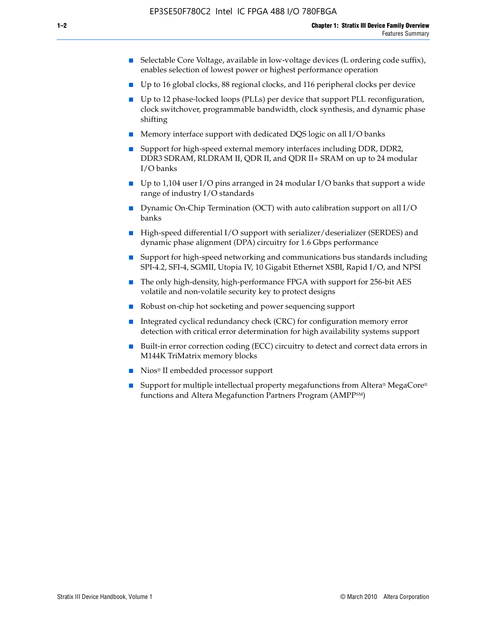- Selectable Core Voltage, available in low-voltage devices (L ordering code suffix), enables selection of lowest power or highest performance operation
- Up to 16 global clocks, 88 regional clocks, and 116 peripheral clocks per device
- Up to 12 phase-locked loops (PLLs) per device that support PLL reconfiguration, clock switchover, programmable bandwidth, clock synthesis, and dynamic phase shifting
- Memory interface support with dedicated DQS logic on all I/O banks
- Support for high-speed external memory interfaces including DDR, DDR2, DDR3 SDRAM, RLDRAM II, QDR II, and QDR II+ SRAM on up to 24 modular I/O banks
- Up to 1,104 user I/O pins arranged in 24 modular I/O banks that support a wide range of industry I/O standards
- Dynamic On-Chip Termination (OCT) with auto calibration support on all  $I/O$ banks
- High-speed differential I/O support with serializer/deserializer (SERDES) and dynamic phase alignment (DPA) circuitry for 1.6 Gbps performance
- Support for high-speed networking and communications bus standards including SPI-4.2, SFI-4, SGMII, Utopia IV, 10 Gigabit Ethernet XSBI, Rapid I/O, and NPSI
- The only high-density, high-performance FPGA with support for 256-bit AES volatile and non-volatile security key to protect designs
- Robust on-chip hot socketing and power sequencing support
- Integrated cyclical redundancy check (CRC) for configuration memory error detection with critical error determination for high availability systems support
- Built-in error correction coding (ECC) circuitry to detect and correct data errors in M144K TriMatrix memory blocks
- Nios<sup>®</sup> II embedded processor support
- Support for multiple intellectual property megafunctions from Altera® MegaCore® functions and Altera Megafunction Partners Program (AMPPSM)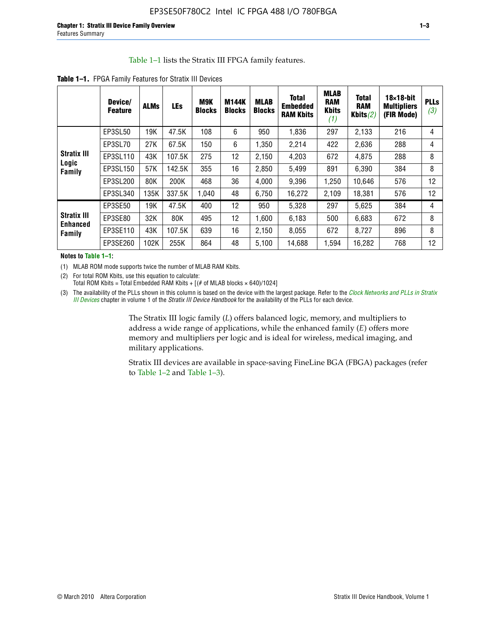#### Table 1–1 lists the Stratix III FPGA family features.

|                                       | Device/<br><b>Feature</b> | <b>ALMs</b> | LEs    | M9K<br><b>Blocks</b> | <b>M144K</b><br><b>Blocks</b> | <b>MLAB</b><br><b>Blocks</b> | <b>Total</b><br><b>Embedded</b><br><b>RAM Kbits</b> | <b>MLAB</b><br><b>RAM</b><br><b>Kbits</b><br>(1) | <b>Total</b><br><b>RAM</b><br>Kbits $(2)$ | $18\times18$ -bit<br><b>Multipliers</b><br>(FIR Mode) | <b>PLLs</b><br>(3) |
|---------------------------------------|---------------------------|-------------|--------|----------------------|-------------------------------|------------------------------|-----------------------------------------------------|--------------------------------------------------|-------------------------------------------|-------------------------------------------------------|--------------------|
|                                       | EP3SL50                   | 19K         | 47.5K  | 108                  | 6                             | 950                          | 1,836                                               | 297                                              | 2,133                                     | 216                                                   | 4                  |
|                                       | EP3SL70                   | 27K         | 67.5K  | 150                  | 6                             | 1,350                        | 2,214                                               | 422                                              | 2,636                                     | 288                                                   | 4                  |
| <b>Stratix III</b>                    | EP3SL110                  | 43K         | 107.5K | 275                  | 12                            | 2,150                        | 4,203                                               | 672                                              | 4,875                                     | 288                                                   | 8                  |
| Logic<br>Family                       | EP3SL150                  | 57K         | 142.5K | 355                  | 16                            | 2,850                        | 5,499                                               | 891                                              | 6,390                                     | 384                                                   | 8                  |
|                                       | EP3SL200                  | 80K         | 200K   | 468                  | 36                            | 4,000                        | 9,396                                               | 1,250                                            | 10,646                                    | 576                                                   | 12                 |
|                                       | EP3SL340                  | 135K        | 337.5K | 1,040                | 48                            | 6,750                        | 16,272                                              | 2,109                                            | 18,381                                    | 576                                                   | 12                 |
|                                       | EP3SE50                   | 19K         | 47.5K  | 400                  | 12                            | 950                          | 5,328                                               | 297                                              | 5,625                                     | 384                                                   | 4                  |
| <b>Stratix III</b><br><b>Enhanced</b> | EP3SE80                   | 32K         | 80K    | 495                  | 12                            | 1,600                        | 6,183                                               | 500                                              | 6,683                                     | 672                                                   | 8                  |
| Family                                | EP3SE110                  | 43K         | 107.5K | 639                  | 16                            | 2,150                        | 8.055                                               | 672                                              | 8,727                                     | 896                                                   | 8                  |
|                                       | EP3SE260                  | 102K        | 255K   | 864                  | 48                            | 5,100                        | 14,688                                              | 1,594                                            | 16,282                                    | 768                                                   | 12                 |

**Table 1–1.** FPGA Family Features for Stratix III Devices

**Notes to Table 1–1:**

(1) MLAB ROM mode supports twice the number of MLAB RAM Kbits.

(2) For total ROM Kbits, use this equation to calculate: Total ROM Kbits = Total Embedded RAM Kbits +  $[(# of MLAB blocks × 640)/1024]$ 

(3) The availability of the PLLs shown in this column is based on the device with the largest package. Refer to the *[Clock Networks and PLLs in Stratix](http://www.altera.com/literature/hb/stx3/stx3_siii51006.pdf)  [III Devices](http://www.altera.com/literature/hb/stx3/stx3_siii51006.pdf)* chapter in volume 1 of the *Stratix III Device Handbook* for the availability of the PLLs for each device.

> The Stratix III logic family (*L*) offers balanced logic, memory, and multipliers to address a wide range of applications, while the enhanced family (*E*) offers more memory and multipliers per logic and is ideal for wireless, medical imaging, and military applications.

Stratix III devices are available in space-saving FineLine BGA (FBGA) packages (refer to Table 1–2 and Table 1–3).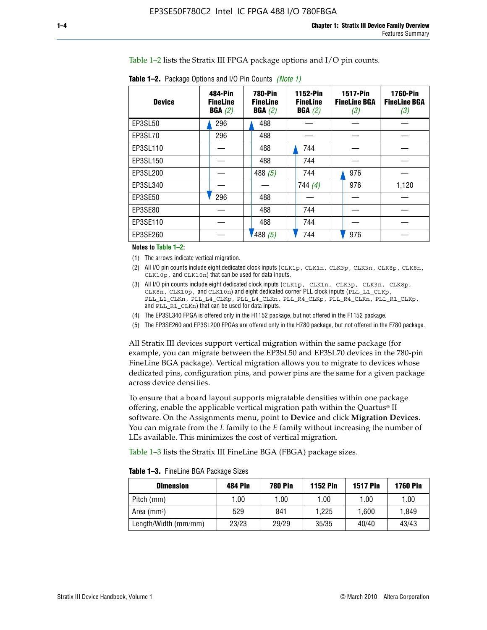Table 1–2 lists the Stratix III FPGA package options and I/O pin counts.

| <b>Device</b> | 484-Pin<br><b>FineLine</b><br>BGA(2) | <b>780-Pin</b><br><b>FineLine</b><br>BGA(2) | 1152-Pin<br><b>FineLine</b><br>BGA(2) | <b>1517-Pin</b><br><b>FineLine BGA</b><br>(3) | <b>1760-Pin</b><br><b>FineLine BGA</b><br>(3) |
|---------------|--------------------------------------|---------------------------------------------|---------------------------------------|-----------------------------------------------|-----------------------------------------------|
| EP3SL50       | 296                                  | 488                                         |                                       |                                               |                                               |
| EP3SL70       | 296                                  | 488                                         |                                       |                                               |                                               |
| EP3SL110      |                                      | 488                                         | 744                                   |                                               |                                               |
| EP3SL150      |                                      | 488                                         | 744                                   |                                               |                                               |
| EP3SL200      |                                      | 488 $(5)$                                   | 744                                   | 976                                           |                                               |
| EP3SL340      |                                      |                                             | 744(4)                                | 976                                           | 1,120                                         |
| EP3SE50       | 296                                  | 488                                         |                                       |                                               |                                               |
| EP3SE80       |                                      | 488                                         | 744                                   |                                               |                                               |
| EP3SE110      |                                      | 488                                         | 744                                   |                                               |                                               |
| EP3SE260      |                                      | 488(5)                                      | 744                                   | 976                                           |                                               |

**Table 1–2.** Package Options and I/O Pin Counts *(Note 1)*

**Notes to Table 1–2:**

(1) The arrows indicate vertical migration.

- (2) All I/O pin counts include eight dedicated clock inputs (CLK1p, CLK1n, CLK3p, CLK3n, CLK8p, CLK8n, CLK10p, and CLK10n) that can be used for data inputs.
- (3) All I/O pin counts include eight dedicated clock inputs (CLK1p, CLK1n, CLK3p, CLK3n, CLK8p, CLK8n, CLK10p, and CLK10n) and eight dedicated corner PLL clock inputs (PLL\_L1\_CLKp, PLL\_L1\_CLKn, PLL\_L4\_CLKp, PLL\_L4\_CLKn, PLL\_R4\_CLKp, PLL\_R4\_CLKn, PLL\_R1\_CLKp, and PLL\_R1\_CLKn) that can be used for data inputs.
- (4) The EP3SL340 FPGA is offered only in the H1152 package, but not offered in the F1152 package.
- (5) The EP3SE260 and EP3SL200 FPGAs are offered only in the H780 package, but not offered in the F780 package.

All Stratix III devices support vertical migration within the same package (for example, you can migrate between the EP3SL50 and EP3SL70 devices in the 780-pin FineLine BGA package). Vertical migration allows you to migrate to devices whose dedicated pins, configuration pins, and power pins are the same for a given package across device densities.

To ensure that a board layout supports migratable densities within one package offering, enable the applicable vertical migration path within the Quartus® II software. On the Assignments menu, point to **Device** and click **Migration Devices**. You can migrate from the *L* family to the *E* family without increasing the number of LEs available. This minimizes the cost of vertical migration.

Table 1–3 lists the Stratix III FineLine BGA (FBGA) package sizes.

**Table 1–3.** FineLine BGA Package Sizes

| <b>Dimension</b>     | <b>484 Pin</b> | <b>780 Pin</b> | <b>1152 Pin</b> | <b>1517 Pin</b> | <b>1760 Pin</b> |
|----------------------|----------------|----------------|-----------------|-----------------|-----------------|
| Pitch (mm)           | 1.00           | 1.00           | 1.00            | 1.00            | 1.00            |
| Area $(mm2)$         | 529            | 841            | 1.225           | 1.600           | 1.849           |
| Length/Width (mm/mm) | 23/23          | 29/29          | 35/35           | 40/40           | 43/43           |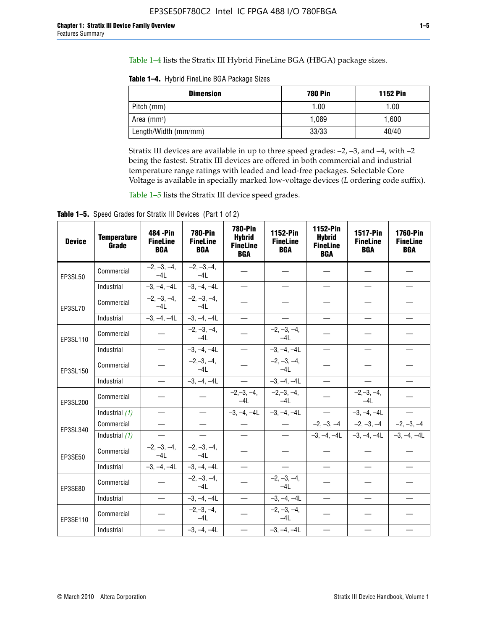Table 1–4 lists the Stratix III Hybrid FineLine BGA (HBGA) package sizes.

**Table 1–4.** Hybrid FineLine BGA Package Sizes

| <b>Dimension</b>     | <b>780 Pin</b> | <b>1152 Pin</b> |
|----------------------|----------------|-----------------|
| Pitch (mm)           | 1.00           | 1.00            |
| Area $(mm^2)$        | 1.089          | 1.600           |
| Length/Width (mm/mm) | 33/33          | 40/40           |

Stratix III devices are available in up to three speed grades: –2, –3, and –4, with –2 being the fastest. Stratix III devices are offered in both commercial and industrial temperature range ratings with leaded and lead-free packages. Selectable Core Voltage is available in specially marked low-voltage devices (*L* ordering code suffix).

Table 1–5 lists the Stratix III device speed grades.

Table 1-5. Speed Grades for Stratix III Devices (Part 1 of 2)

| <b>Device</b> | <b>Temperature</b><br>Grade | 484 - Pin<br><b>FineLine</b><br><b>BGA</b> | <b>780-Pin</b><br><b>FineLine</b><br><b>BGA</b> | <b>780-Pin</b><br><b>Hybrid</b><br><b>FineLine</b><br><b>BGA</b> | 1152-Pin<br><b>FineLine</b><br><b>BGA</b> | 1152-Pin<br><b>Hybrid</b><br><b>FineLine</b><br><b>BGA</b> | 1517-Pin<br><b>FineLine</b><br><b>BGA</b> | <b>1760-Pin</b><br><b>FineLine</b><br><b>BGA</b> |
|---------------|-----------------------------|--------------------------------------------|-------------------------------------------------|------------------------------------------------------------------|-------------------------------------------|------------------------------------------------------------|-------------------------------------------|--------------------------------------------------|
| EP3SL50       | Commercial                  | $-2, -3, -4,$<br>$-4L$                     | $-2, -3, -4,$<br>$-4L$                          |                                                                  |                                           |                                                            |                                           |                                                  |
|               | Industrial                  | $-3, -4, -4L$                              | $-3, -4, -4L$                                   | $\overline{\phantom{0}}$                                         | $\equiv$                                  | $\overline{\phantom{0}}$                                   |                                           | $\overline{\phantom{0}}$                         |
| EP3SL70       | Commercial                  | $-2, -3, -4,$<br>$-4L$                     | $-2, -3, -4,$<br>$-41$                          |                                                                  |                                           |                                                            |                                           |                                                  |
|               | Industrial                  | $-3, -4, -4L$                              | $-3, -4, -4L$                                   | $\overbrace{\phantom{1232211}}$                                  |                                           | $\overline{\phantom{0}}$                                   | $\overline{\phantom{0}}$                  | $\overline{\phantom{0}}$                         |
| EP3SL110      | Commercial                  |                                            | $-2, -3, -4,$<br>$-4L$                          |                                                                  | $-2, -3, -4,$<br>$-4L$                    |                                                            |                                           |                                                  |
|               | Industrial                  | $\equiv$                                   | $-3, -4, -4L$                                   | $\frac{1}{1}$                                                    | $-3, -4, -4L$                             | $\frac{1}{2}$                                              |                                           | $\overline{\phantom{0}}$                         |
| EP3SL150      | Commercial                  |                                            | $-2, -3, -4,$<br>$-41$                          |                                                                  | $-2, -3, -4,$<br>$-41$                    |                                                            |                                           |                                                  |
|               | Industrial                  | $\overline{\phantom{m}}$                   | $-3, -4, -4L$                                   | $\equiv$                                                         | $-3, -4, -4L$                             | $\overline{\phantom{0}}$                                   | $\overline{\phantom{0}}$                  | $\overbrace{\phantom{12322111}}$                 |
| EP3SL200      | Commercial                  |                                            |                                                 | $-2, -3, -4,$<br>$-4L$                                           | $-2, -3, -4,$<br>$-4L$                    |                                                            | $-2,-3,-4,$<br>$-4L$                      |                                                  |
|               | Industrial (1)              | $\equiv$                                   | $\equiv$                                        | $-3, -4, -4L$                                                    | $-3, -4, -4L$                             | $\equiv$                                                   | $-3, -4, -4L$                             | $\equiv$                                         |
| EP3SL340      | Commercial                  |                                            | $\equiv$                                        |                                                                  | $\overline{\phantom{m}}$                  |                                                            | $-2, -3, -4$ $-2, -3, -4$                 | $-2, -3, -4$                                     |
|               | Industrial (1)              |                                            | $\equiv$                                        | $\qquad \qquad -$                                                | $\overline{\phantom{0}}$                  |                                                            | $-3, -4, -4$ $-3, -4, -4$                 | $-3, -4, -4L$                                    |
| EP3SE50       | Commercial                  | $-2, -3, -4,$<br>$-4L$                     | $-2, -3, -4,$<br>$-4L$                          |                                                                  |                                           |                                                            |                                           |                                                  |
|               | Industrial                  | $-3, -4, -4L$                              | $-3, -4, -4L$                                   |                                                                  | $\overline{\phantom{0}}$                  |                                                            | $\overline{\phantom{0}}$                  | $\overline{\phantom{0}}$                         |
| EP3SE80       | Commercial                  |                                            | $-2, -3, -4,$<br>$-41$                          |                                                                  | $-2, -3, -4,$<br>$-4L$                    |                                                            |                                           |                                                  |
|               | Industrial                  | $\overline{\phantom{m}}$                   | $-3, -4, -4L$                                   |                                                                  | $-3, -4, -4L$                             |                                                            | $\equiv$                                  |                                                  |
| EP3SE110      | Commercial                  |                                            | $-2, -3, -4,$<br>$-4L$                          |                                                                  | $-2, -3, -4,$<br>$-4L$                    |                                                            |                                           |                                                  |
|               | Industrial                  |                                            | $-3, -4, -4L$                                   | $\equiv$                                                         | $-3, -4, -4L$                             |                                                            |                                           |                                                  |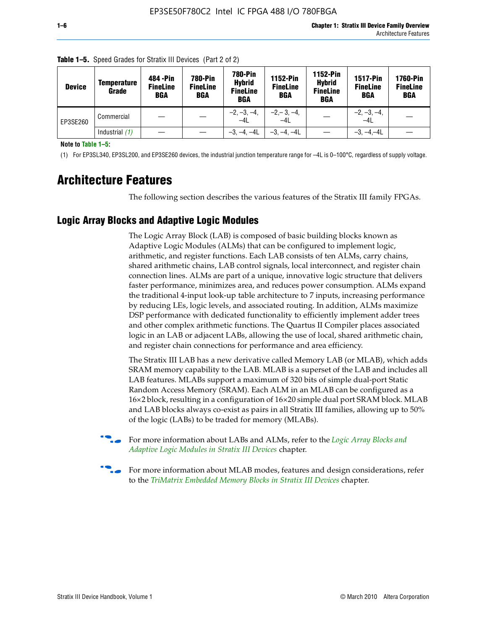| <b>Device</b> | Temperature<br>Grade | 484 - Pin<br><b>FineLine</b><br><b>BGA</b> | <b>780-Pin</b><br><b>FineLine</b><br><b>BGA</b> | <b>780-Pin</b><br><b>Hybrid</b><br><b>FineLine</b><br><b>BGA</b> | 1152-Pin<br><b>FineLine</b><br><b>BGA</b> | <b>1152-Pin</b><br><b>Hybrid</b><br><b>FineLine</b><br><b>BGA</b> | <b>1517-Pin</b><br><b>FineLine</b><br><b>BGA</b> | <b>1760-Pin</b><br><b>FineLine</b><br>BGA |
|---------------|----------------------|--------------------------------------------|-------------------------------------------------|------------------------------------------------------------------|-------------------------------------------|-------------------------------------------------------------------|--------------------------------------------------|-------------------------------------------|
| EP3SE260      | Commercial           |                                            |                                                 | $-2, -3, -4,$<br>$-4L$                                           | $-2, -3, -4,$<br>$-4L$                    |                                                                   | $-2, -3, -4,$<br>$-4L$                           |                                           |
|               | Industrial (1)       |                                            |                                                 | $-3, -4, -4L$                                                    | $-3, -4, -4L$                             |                                                                   | $-3, -4, -4L$                                    |                                           |

**Table 1–5.** Speed Grades for Stratix III Devices (Part 2 of 2)

**Note to Table 1–5:**

(1) For EP3SL340, EP3SL200, and EP3SE260 devices, the industrial junction temperature range for –4L is 0–100°C, regardless of supply voltage.

# **Architecture Features**

The following section describes the various features of the Stratix III family FPGAs.

## **Logic Array Blocks and Adaptive Logic Modules**

The Logic Array Block (LAB) is composed of basic building blocks known as Adaptive Logic Modules (ALMs) that can be configured to implement logic, arithmetic, and register functions. Each LAB consists of ten ALMs, carry chains, shared arithmetic chains, LAB control signals, local interconnect, and register chain connection lines. ALMs are part of a unique, innovative logic structure that delivers faster performance, minimizes area, and reduces power consumption. ALMs expand the traditional 4-input look-up table architecture to 7 inputs, increasing performance by reducing LEs, logic levels, and associated routing. In addition, ALMs maximize DSP performance with dedicated functionality to efficiently implement adder trees and other complex arithmetic functions. The Quartus II Compiler places associated logic in an LAB or adjacent LABs, allowing the use of local, shared arithmetic chain, and register chain connections for performance and area efficiency.

The Stratix III LAB has a new derivative called Memory LAB (or MLAB), which adds SRAM memory capability to the LAB. MLAB is a superset of the LAB and includes all LAB features. MLABs support a maximum of 320 bits of simple dual-port Static Random Access Memory (SRAM). Each ALM in an MLAB can be configured as a 16×2 block, resulting in a configuration of 16×20 simple dual port SRAM block. MLAB and LAB blocks always co-exist as pairs in all Stratix III families, allowing up to 50% of the logic (LABs) to be traded for memory (MLABs).



f For more information about LABs and ALMs, refer to the *[Logic Array Blocks and](http://www.altera.com/literature/hb/stx3/stx3_siii51002.pdf)  [Adaptive Logic Modules in Stratix III Devices](http://www.altera.com/literature/hb/stx3/stx3_siii51002.pdf)* chapter.



For more information about MLAB modes, features and design considerations, refer to the *[TriMatrix Embedded Memory Blocks in Stratix III Devices](http://www.altera.com/literature/hb/stx3/stx3_siii51004.pdf)* chapter.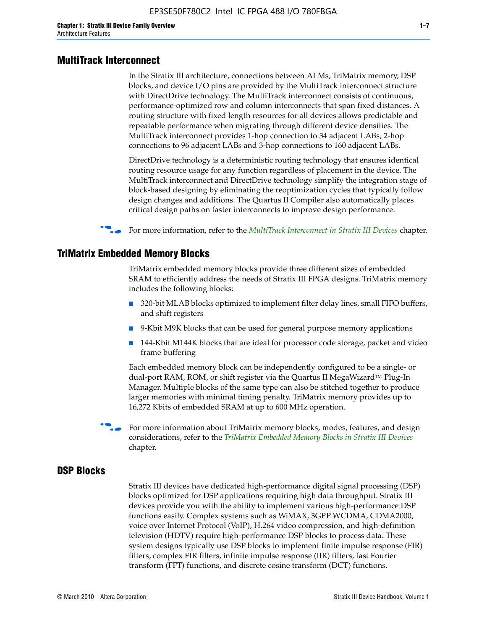#### **MultiTrack Interconnect**

In the Stratix III architecture, connections between ALMs, TriMatrix memory, DSP blocks, and device I/O pins are provided by the MultiTrack interconnect structure with DirectDrive technology. The MultiTrack interconnect consists of continuous, performance-optimized row and column interconnects that span fixed distances. A routing structure with fixed length resources for all devices allows predictable and repeatable performance when migrating through different device densities. The MultiTrack interconnect provides 1-hop connection to 34 adjacent LABs, 2-hop connections to 96 adjacent LABs and 3-hop connections to 160 adjacent LABs.

DirectDrive technology is a deterministic routing technology that ensures identical routing resource usage for any function regardless of placement in the device. The MultiTrack interconnect and DirectDrive technology simplify the integration stage of block-based designing by eliminating the reoptimization cycles that typically follow design changes and additions. The Quartus II Compiler also automatically places critical design paths on faster interconnects to improve design performance.

#### f For more information, refer to the *[MultiTrack Interconnect in Stratix III Devices](http://www.altera.com/literature/hb/stx3/stx3_siii51003.pdf)* chapter.

#### **TriMatrix Embedded Memory Blocks**

TriMatrix embedded memory blocks provide three different sizes of embedded SRAM to efficiently address the needs of Stratix III FPGA designs. TriMatrix memory includes the following blocks:

- 320-bit MLAB blocks optimized to implement filter delay lines, small FIFO buffers, and shift registers
- 9-Kbit M9K blocks that can be used for general purpose memory applications
- 144-Kbit M144K blocks that are ideal for processor code storage, packet and video frame buffering

Each embedded memory block can be independently configured to be a single- or dual-port RAM, ROM, or shift register via the Quartus II MegaWizard™ Plug-In Manager. Multiple blocks of the same type can also be stitched together to produce larger memories with minimal timing penalty. TriMatrix memory provides up to 16,272 Kbits of embedded SRAM at up to 600 MHz operation.

For more information about TriMatrix memory blocks, modes, features, and design considerations, refer to the *[TriMatrix Embedded Memory Blocks in Stratix III Devices](http://www.altera.com/literature/hb/stx3/stx3_siii51004.pdf)* chapter.

#### **DSP Blocks**

Stratix III devices have dedicated high-performance digital signal processing (DSP) blocks optimized for DSP applications requiring high data throughput. Stratix III devices provide you with the ability to implement various high-performance DSP functions easily. Complex systems such as WiMAX, 3GPP WCDMA, CDMA2000, voice over Internet Protocol (VoIP), H.264 video compression, and high-definition television (HDTV) require high-performance DSP blocks to process data. These system designs typically use DSP blocks to implement finite impulse response (FIR) filters, complex FIR filters, infinite impulse response (IIR) filters, fast Fourier transform (FFT) functions, and discrete cosine transform (DCT) functions.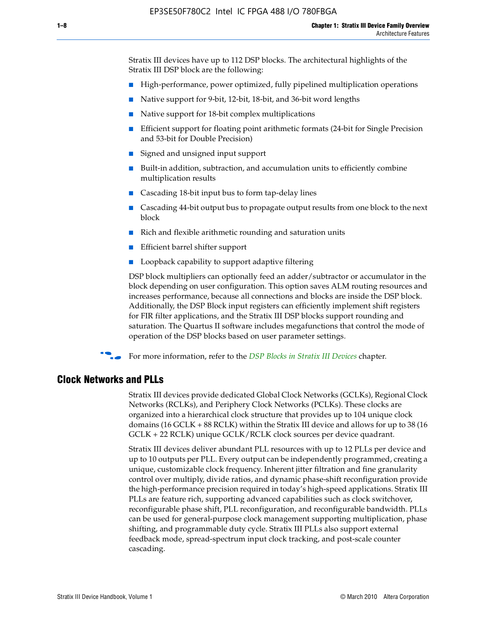Stratix III devices have up to 112 DSP blocks. The architectural highlights of the Stratix III DSP block are the following:

- High-performance, power optimized, fully pipelined multiplication operations
- Native support for 9-bit, 12-bit, 18-bit, and 36-bit word lengths
- Native support for 18-bit complex multiplications
- Efficient support for floating point arithmetic formats (24-bit for Single Precision and 53-bit for Double Precision)
- Signed and unsigned input support
- Built-in addition, subtraction, and accumulation units to efficiently combine multiplication results
- Cascading 18-bit input bus to form tap-delay lines
- Cascading 44-bit output bus to propagate output results from one block to the next block
- Rich and flexible arithmetic rounding and saturation units
- Efficient barrel shifter support
- Loopback capability to support adaptive filtering

DSP block multipliers can optionally feed an adder/subtractor or accumulator in the block depending on user configuration. This option saves ALM routing resources and increases performance, because all connections and blocks are inside the DSP block. Additionally, the DSP Block input registers can efficiently implement shift registers for FIR filter applications, and the Stratix III DSP blocks support rounding and saturation. The Quartus II software includes megafunctions that control the mode of operation of the DSP blocks based on user parameter settings.

f For more information, refer to the *[DSP Blocks in Stratix III Devices](http://www.altera.com/literature/hb/stx3/stx3_siii51005.pdf)* chapter.

#### **Clock Networks and PLLs**

Stratix III devices provide dedicated Global Clock Networks (GCLKs), Regional Clock Networks (RCLKs), and Periphery Clock Networks (PCLKs). These clocks are organized into a hierarchical clock structure that provides up to 104 unique clock domains (16 GCLK + 88 RCLK) within the Stratix III device and allows for up to 38 (16 GCLK + 22 RCLK) unique GCLK/RCLK clock sources per device quadrant.

Stratix III devices deliver abundant PLL resources with up to 12 PLLs per device and up to 10 outputs per PLL. Every output can be independently programmed, creating a unique, customizable clock frequency. Inherent jitter filtration and fine granularity control over multiply, divide ratios, and dynamic phase-shift reconfiguration provide the high-performance precision required in today's high-speed applications. Stratix III PLLs are feature rich, supporting advanced capabilities such as clock switchover, reconfigurable phase shift, PLL reconfiguration, and reconfigurable bandwidth. PLLs can be used for general-purpose clock management supporting multiplication, phase shifting, and programmable duty cycle. Stratix III PLLs also support external feedback mode, spread-spectrum input clock tracking, and post-scale counter cascading.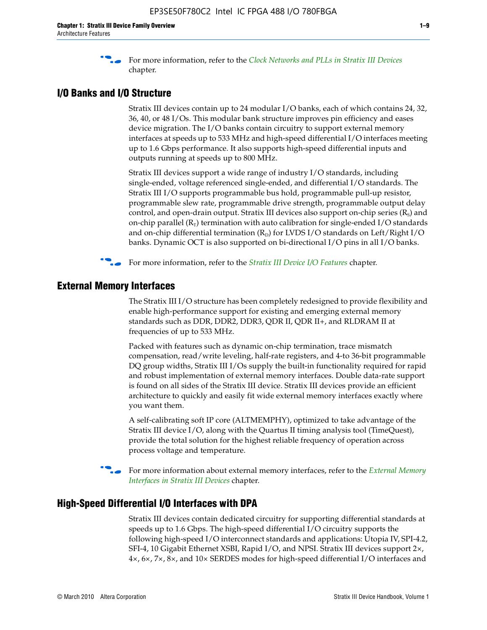f For more information, refer to the *[Clock Networks and PLLs in Stratix III Devices](http://www.altera.com/literature/hb/stx3/stx3_siii51006.pdf)* chapter.

## **I/O Banks and I/O Structure**

Stratix III devices contain up to 24 modular I/O banks, each of which contains 24, 32, 36, 40, or 48 I/Os. This modular bank structure improves pin efficiency and eases device migration. The I/O banks contain circuitry to support external memory interfaces at speeds up to 533 MHz and high-speed differential I/O interfaces meeting up to 1.6 Gbps performance. It also supports high-speed differential inputs and outputs running at speeds up to 800 MHz.

Stratix III devices support a wide range of industry I/O standards, including single-ended, voltage referenced single-ended, and differential I/O standards. The Stratix III I/O supports programmable bus hold, programmable pull-up resistor, programmable slew rate, programmable drive strength, programmable output delay control, and open-drain output. Stratix III devices also support on-chip series  $(R<sub>s</sub>)$  and on-chip parallel  $(R_T)$  termination with auto calibration for single-ended I/O standards and on-chip differential termination  $(R_D)$  for LVDS I/O standards on Left/Right I/O banks. Dynamic OCT is also supported on bi-directional I/O pins in all I/O banks.

**For more information, refer to the** *[Stratix III Device I/O Features](http://www.altera.com/literature/hb/stx3/stx3_siii51007.pdf)* **chapter.** 

# **External Memory Interfaces**

The Stratix III I/O structure has been completely redesigned to provide flexibility and enable high-performance support for existing and emerging external memory standards such as DDR, DDR2, DDR3, QDR II, QDR II+, and RLDRAM II at frequencies of up to 533 MHz.

Packed with features such as dynamic on-chip termination, trace mismatch compensation, read/write leveling, half-rate registers, and 4-to 36-bit programmable DQ group widths, Stratix III I/Os supply the built-in functionality required for rapid and robust implementation of external memory interfaces. Double data-rate support is found on all sides of the Stratix III device. Stratix III devices provide an efficient architecture to quickly and easily fit wide external memory interfaces exactly where you want them.

A self-calibrating soft IP core (ALTMEMPHY), optimized to take advantage of the Stratix III device I/O, along with the Quartus II timing analysis tool (TimeQuest), provide the total solution for the highest reliable frequency of operation across process voltage and temperature.

f For more information about external memory interfaces, refer to the *[External Memory](http://www.altera.com/literature/hb/stx3/stx3_siii51008.pdf)  [Interfaces in Stratix III Devices](http://www.altera.com/literature/hb/stx3/stx3_siii51008.pdf)* chapter.

#### **High-Speed Differential I/O Interfaces with DPA**

Stratix III devices contain dedicated circuitry for supporting differential standards at speeds up to 1.6 Gbps. The high-speed differential I/O circuitry supports the following high-speed I/O interconnect standards and applications: Utopia IV, SPI-4.2, SFI-4, 10 Gigabit Ethernet XSBI, Rapid I/O, and NPSI. Stratix III devices support 2×, 4×, 6×, 7×, 8×, and 10× SERDES modes for high-speed differential I/O interfaces and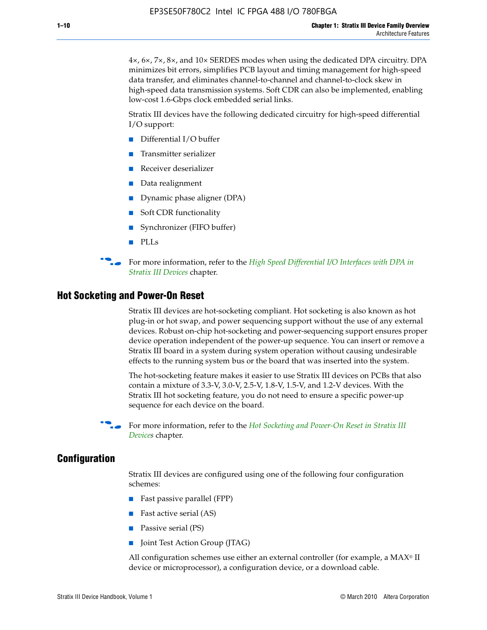4×, 6×, 7×, 8×, and 10× SERDES modes when using the dedicated DPA circuitry. DPA minimizes bit errors, simplifies PCB layout and timing management for high-speed data transfer, and eliminates channel-to-channel and channel-to-clock skew in high-speed data transmission systems. Soft CDR can also be implemented, enabling low-cost 1.6-Gbps clock embedded serial links.

Stratix III devices have the following dedicated circuitry for high-speed differential I/O support:

- Differential I/O buffer
- Transmitter serializer
- Receiver deserializer
- Data realignment
- Dynamic phase aligner (DPA)
- Soft CDR functionality
- Synchronizer (FIFO buffer)
- PLLs

**for more information, refer to the** *High Speed Differential I/O Interfaces with DPA in [Stratix III Devices](http://www.altera.com/literature/hb/stx3/stx3_siii51009.pdf)* chapter.

#### **Hot Socketing and Power-On Reset**

Stratix III devices are hot-socketing compliant. Hot socketing is also known as hot plug-in or hot swap, and power sequencing support without the use of any external devices. Robust on-chip hot-socketing and power-sequencing support ensures proper device operation independent of the power-up sequence. You can insert or remove a Stratix III board in a system during system operation without causing undesirable effects to the running system bus or the board that was inserted into the system.

The hot-socketing feature makes it easier to use Stratix III devices on PCBs that also contain a mixture of 3.3-V, 3.0-V, 2.5-V, 1.8-V, 1.5-V, and 1.2-V devices. With the Stratix III hot socketing feature, you do not need to ensure a specific power-up sequence for each device on the board.

For more information, refer to the *Hot Socketing and Power-On Reset in Stratix III [Device](http://www.altera.com/literature/hb/stx3/stx3_siii51010.pdf)s* chapter.

### **Configuration**

Stratix III devices are configured using one of the following four configuration schemes:

- Fast passive parallel (FPP)
- Fast active serial (AS)
- Passive serial (PS)
- Joint Test Action Group (JTAG)

All configuration schemes use either an external controller (for example, a  $MAX<sup>®</sup>$  II device or microprocessor), a configuration device, or a download cable.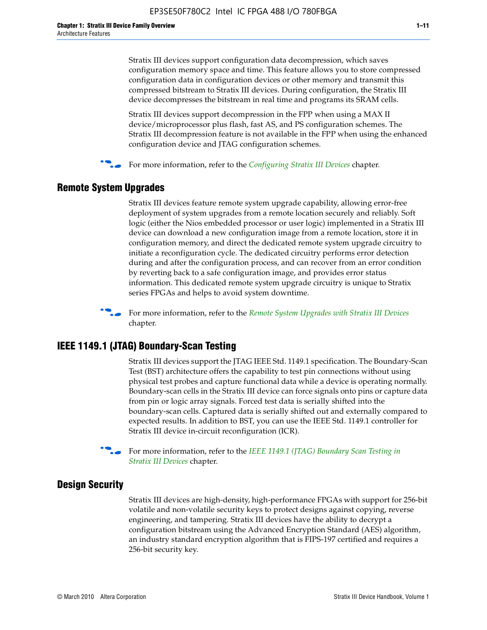Stratix III devices support configuration data decompression, which saves configuration memory space and time. This feature allows you to store compressed configuration data in configuration devices or other memory and transmit this compressed bitstream to Stratix III devices. During configuration, the Stratix III device decompresses the bitstream in real time and programs its SRAM cells.

Stratix III devices support decompression in the FPP when using a MAX II device/microprocessor plus flash, fast AS, and PS configuration schemes. The Stratix III decompression feature is not available in the FPP when using the enhanced configuration device and JTAG configuration schemes.

For more information, refer to the *[Configuring Stratix III Devices](http://www.altera.com/literature/hb/stx3/stx3_siii51011.pdf)* chapter.

# **Remote System Upgrades**

Stratix III devices feature remote system upgrade capability, allowing error-free deployment of system upgrades from a remote location securely and reliably. Soft logic (either the Nios embedded processor or user logic) implemented in a Stratix III device can download a new configuration image from a remote location, store it in configuration memory, and direct the dedicated remote system upgrade circuitry to initiate a reconfiguration cycle. The dedicated circuitry performs error detection during and after the configuration process, and can recover from an error condition by reverting back to a safe configuration image, and provides error status information. This dedicated remote system upgrade circuitry is unique to Stratix series FPGAs and helps to avoid system downtime.



**For more information, refer to the** *[Remote System Upgrades with Stratix III Devices](http://www.altera.com/literature/hb/stx3/stx3_siii51012.pdf)* chapter.

# **IEEE 1149.1 (JTAG) Boundary-Scan Testing**

Stratix III devices support the JTAG IEEE Std. 1149.1 specification. The Boundary-Scan Test (BST) architecture offers the capability to test pin connections without using physical test probes and capture functional data while a device is operating normally. Boundary-scan cells in the Stratix III device can force signals onto pins or capture data from pin or logic array signals. Forced test data is serially shifted into the boundary-scan cells. Captured data is serially shifted out and externally compared to expected results. In addition to BST, you can use the IEEE Std. 1149.1 controller for Stratix III device in-circuit reconfiguration (ICR).

For more information, refer to the *IEEE 1149.1 (JTAG) Boundary Scan Testing in [Stratix III Devices](http://www.altera.com/literature/hb/stx3/stx3_siii51013.pdf)* chapter.

# **Design Security**

Stratix III devices are high-density, high-performance FPGAs with support for 256-bit volatile and non-volatile security keys to protect designs against copying, reverse engineering, and tampering. Stratix III devices have the ability to decrypt a configuration bitstream using the Advanced Encryption Standard (AES) algorithm, an industry standard encryption algorithm that is FIPS-197 certified and requires a 256-bit security key.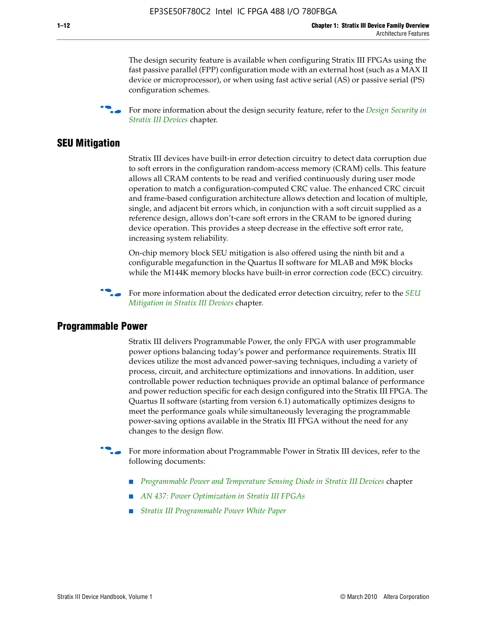The design security feature is available when configuring Stratix III FPGAs using the fast passive parallel (FPP) configuration mode with an external host (such as a MAX II device or microprocessor), or when using fast active serial (AS) or passive serial (PS) configuration schemes.

f For more information about the design security feature, refer to the *[Design Security in](http://www.altera.com/literature/hb/stx3/stx3_siii51014.pdf)  [Stratix III Devices](http://www.altera.com/literature/hb/stx3/stx3_siii51014.pdf)* chapter.

## **SEU Mitigation**

Stratix III devices have built-in error detection circuitry to detect data corruption due to soft errors in the configuration random-access memory (CRAM) cells. This feature allows all CRAM contents to be read and verified continuously during user mode operation to match a configuration-computed CRC value. The enhanced CRC circuit and frame-based configuration architecture allows detection and location of multiple, single, and adjacent bit errors which, in conjunction with a soft circuit supplied as a reference design, allows don't-care soft errors in the CRAM to be ignored during device operation. This provides a steep decrease in the effective soft error rate, increasing system reliability.

On-chip memory block SEU mitigation is also offered using the ninth bit and a configurable megafunction in the Quartus II software for MLAB and M9K blocks while the M144K memory blocks have built-in error correction code (ECC) circuitry.

For more information about the dedicated error detection circuitry, refer to the *SEU [Mitigation in Stratix III Devices](http://www.altera.com/literature/hb/stx3/stx3_siii51015.pdf)* chapter.

#### **Programmable Power**

Stratix III delivers Programmable Power, the only FPGA with user programmable power options balancing today's power and performance requirements. Stratix III devices utilize the most advanced power-saving techniques, including a variety of process, circuit, and architecture optimizations and innovations. In addition, user controllable power reduction techniques provide an optimal balance of performance and power reduction specific for each design configured into the Stratix III FPGA. The Quartus II software (starting from version 6.1) automatically optimizes designs to meet the performance goals while simultaneously leveraging the programmable power-saving options available in the Stratix III FPGA without the need for any changes to the design flow.

For more information about Programmable Power in Stratix III devices, refer to the following documents:

- *[Programmable Power and Temperature Sensing Diode in Stratix III Devices](http://www.altera.com/literature/hb/stx3/stx3_siii51016.pdf)* chapter
- *[AN 437: Power Optimization in Stratix III FPGAs](http://www.altera.com/literature/an/AN437.pdf)*
- *[Stratix III Programmable Power White Paper](http://www.altera.com/literature/wp/wp-01006.pdf)*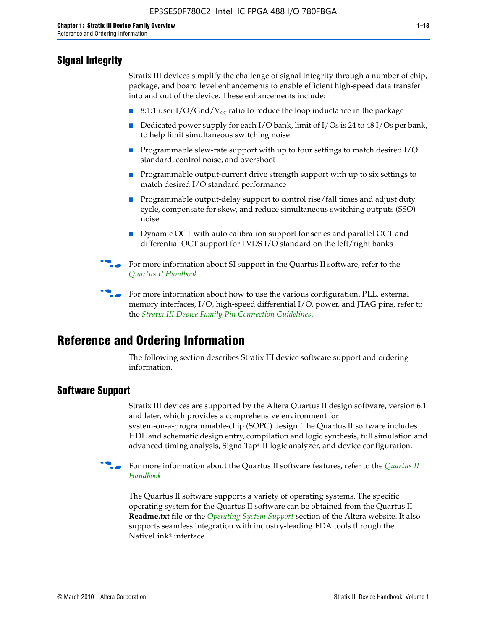# **Signal Integrity**

Stratix III devices simplify the challenge of signal integrity through a number of chip, package, and board level enhancements to enable efficient high-speed data transfer into and out of the device. These enhancements include:

- 8:1:1 user I/O/Gnd/V<sub>cc</sub> ratio to reduce the loop inductance in the package
- Dedicated power supply for each I/O bank, limit of I/Os is 24 to 48 I/Os per bank, to help limit simultaneous switching noise
- Programmable slew-rate support with up to four settings to match desired I/O standard, control noise, and overshoot
- Programmable output-current drive strength support with up to six settings to match desired I/O standard performance
- Programmable output-delay support to control rise/fall times and adjust duty cycle, compensate for skew, and reduce simultaneous switching outputs (SSO) noise
- Dynamic OCT with auto calibration support for series and parallel OCT and differential OCT support for LVDS I/O standard on the left/right banks
- For mor[e](http://www.altera.com/literature/hb/qts/quartusii_handbook.pdf) information about SI support in the Quartus II software, refer to the *[Quartus II Handbook](http://www.altera.com/literature/hb/qts/quartusii_handbook.pdf)*.

For more information about how to use the various configuration, PLL, external memory interfaces, I/O, high-speed differential I/O, power, and JTAG pins, refer to the *[Stratix III Device Family Pin Connection Guidelines](http://www.altera.com/literature/dp/stx3/PCG-01004.pdf)*.

# **Reference and Ordering Information**

The following section describes Stratix III device software support and ordering information.

# **Software Support**

Stratix III devices are supported by the Altera Quartus II design software, version 6.1 and later, which provides a comprehensive environment for system-on-a-programmable-chip (SOPC) design. The Quartus II software includes HDL and schematic design entry, compilation and logic synthesis, full simulation and advanced timing analysis, SignalTap® II logic analyzer, and device configuration.

**For more information about the [Quartus II](http://www.altera.com/literature/hb/qts/quartusii_handbook.pdf) software features, refer to the** *Quartus II* **<b>Fig. 7** *[Handbook](http://www.altera.com/literature/hb/qts/quartusii_handbook.pdf)*.

The Quartus II software supports a variety of operating systems. The specific operating system for the Quartus II software can be obtained from the Quartus II **Readme.txt** file or the *[Operating System Support](http://www.altera.com/support/software/os_support/oss-index.html)* section of the Altera website. It also supports seamless integration with industry-leading EDA tools through the NativeLink® interface.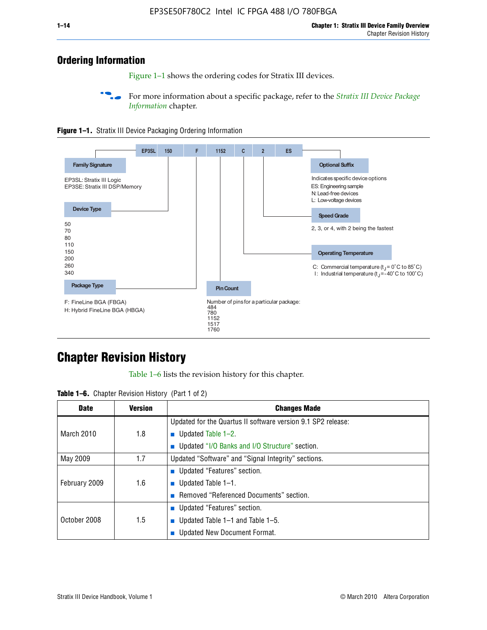# **Ordering Information**

Figure 1–1 shows the ordering codes for Stratix III devices.

For more information about a specific package, refer to the *Stratix III Device Package [Information](http://www.altera.com/literature/hb/stx3/stx3_siii51017.pdf)* chapter.





# **[C](http://www.altera.com/literature/hb/stx3/stx3_siii51012.pdf)hapter Revision History**

Table 1–6 lists the revision history for this chapter.

| <b>Table 1–6.</b> Chapter Revision History (Part 1 of 2) |  |  |  |  |  |
|----------------------------------------------------------|--|--|--|--|--|
|----------------------------------------------------------|--|--|--|--|--|

| <b>Date</b>       | <b>Version</b> | <b>Changes Made</b>                                          |
|-------------------|----------------|--------------------------------------------------------------|
|                   |                | Updated for the Quartus II software version 9.1 SP2 release: |
| <b>March 2010</b> | 1.8            | <b>u</b> Updated Table $1-2$ .                               |
|                   |                | ■ Updated "I/O Banks and I/O Structure" section.             |
| May 2009          | 1.7            | Updated "Software" and "Signal Integrity" sections.          |
|                   |                | Updated "Features" section.                                  |
| February 2009     | 1.6            | <b>u</b> Updated Table $1-1$ .                               |
|                   |                | Removed "Referenced Documents" section.                      |
|                   |                | ■ Updated "Features" section.                                |
| October 2008      | 1.5            | ■ Updated Table 1–1 and Table 1–5.                           |
|                   |                | <b>Updated New Document Format.</b>                          |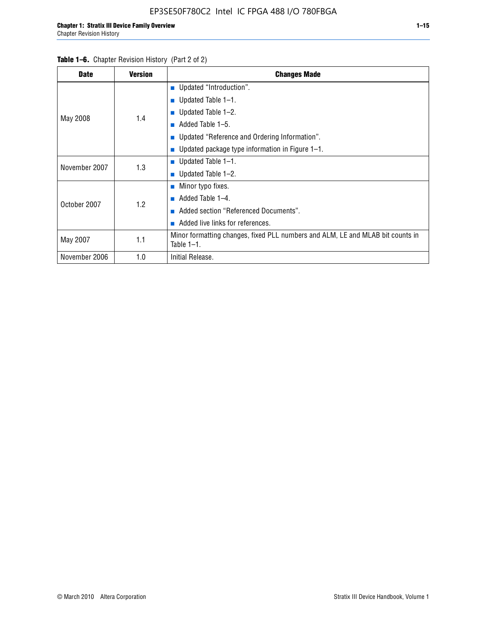| <b>Date</b>   | <b>Version</b> | <b>Changes Made</b>                                                                             |
|---------------|----------------|-------------------------------------------------------------------------------------------------|
|               |                | <b>Updated "Introduction".</b>                                                                  |
|               |                | $\blacksquare$ Updated Table 1-1.                                                               |
|               | 1.4            | <b>Updated Table 1–2.</b>                                                                       |
| May 2008      |                | Added Table 1-5.                                                                                |
|               |                | ■ Updated "Reference and Ordering Information".                                                 |
|               |                | Updated package type information in Figure 1-1.                                                 |
| November 2007 | 1.3            | $\blacksquare$ Updated Table 1-1.                                                               |
|               |                | ■ Updated Table $1-2$ .                                                                         |
|               |                | $\blacksquare$ Minor typo fixes.                                                                |
| October 2007  | 1.2            | Added Table 1-4.<br><b>COL</b>                                                                  |
|               |                | Added section "Referenced Documents".                                                           |
|               |                | Added live links for references.                                                                |
| May 2007      | 1.1            | Minor formatting changes, fixed PLL numbers and ALM, LE and MLAB bit counts in<br>Table $1-1$ . |
| November 2006 | 1.0            | Initial Release.                                                                                |